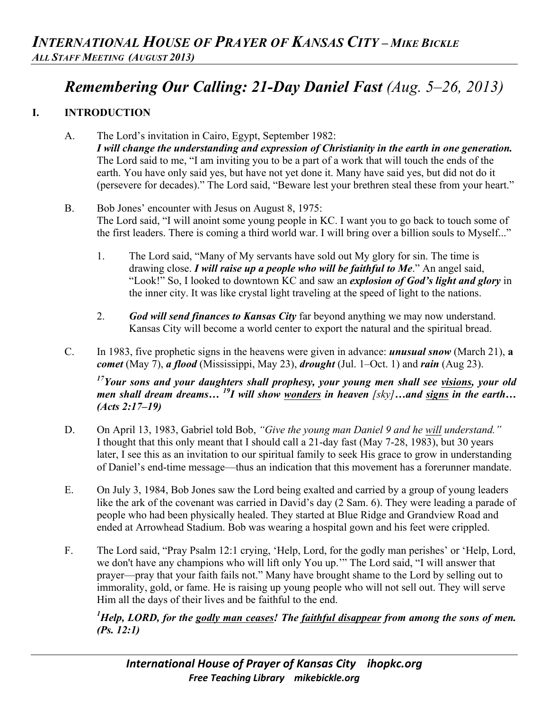## *Remembering Our Calling: 21-Day Daniel Fast (Aug. 5–26, 2013)*

## **I. INTRODUCTION**

- A. The Lord's invitation in Cairo, Egypt, September 1982: *I will change the understanding and expression of Christianity in the earth in one generation.*  The Lord said to me, "I am inviting you to be a part of a work that will touch the ends of the earth. You have only said yes, but have not yet done it. Many have said yes, but did not do it (persevere for decades)." The Lord said, "Beware lest your brethren steal these from your heart."
- B. Bob Jones' encounter with Jesus on August 8, 1975: The Lord said, "I will anoint some young people in KC. I want you to go back to touch some of the first leaders. There is coming a third world war. I will bring over a billion souls to Myself..."
	- 1. The Lord said, "Many of My servants have sold out My glory for sin. The time is drawing close. *I will raise up a people who will be faithful to Me*." An angel said, "Look!" So, I looked to downtown KC and saw an *explosion of God's light and glory* in the inner city. It was like crystal light traveling at the speed of light to the nations.
	- 2. *God will send finances to Kansas City* far beyond anything we may now understand. Kansas City will become a world center to export the natural and the spiritual bread.
- C. In 1983, five prophetic signs in the heavens were given in advance: *unusual snow* (March 21), **a**  *comet* (May 7), *a flood* (Mississippi, May 23), *drought* (Jul. 1–Oct. 1) and *rain* (Aug 23).

*17Your sons and your daughters shall prophesy, your young men shall see visions, your old men shall dream dreams… 19I will show wonders in heaven [sky]…and signs in the earth… (Acts 2:17–19)* 

- D. On April 13, 1983, Gabriel told Bob, *"Give the young man Daniel 9 and he will understand."* I thought that this only meant that I should call a 21-day fast (May 7-28, 1983), but 30 years later, I see this as an invitation to our spiritual family to seek His grace to grow in understanding of Daniel's end-time message—thus an indication that this movement has a forerunner mandate.
- E. On July 3, 1984, Bob Jones saw the Lord being exalted and carried by a group of young leaders like the ark of the covenant was carried in David's day (2 Sam. 6). They were leading a parade of people who had been physically healed. They started at Blue Ridge and Grandview Road and ended at Arrowhead Stadium. Bob was wearing a hospital gown and his feet were crippled.
- F. The Lord said, "Pray Psalm 12:1 crying, 'Help, Lord, for the godly man perishes' or 'Help, Lord, we don't have any champions who will lift only You up.'" The Lord said, "I will answer that prayer—pray that your faith fails not." Many have brought shame to the Lord by selling out to immorality, gold, or fame. He is raising up young people who will not sell out. They will serve Him all the days of their lives and be faithful to the end.

*1 Help, LORD, for the godly man ceases! The faithful disappear from among the sons of men. (Ps. 12:1)*